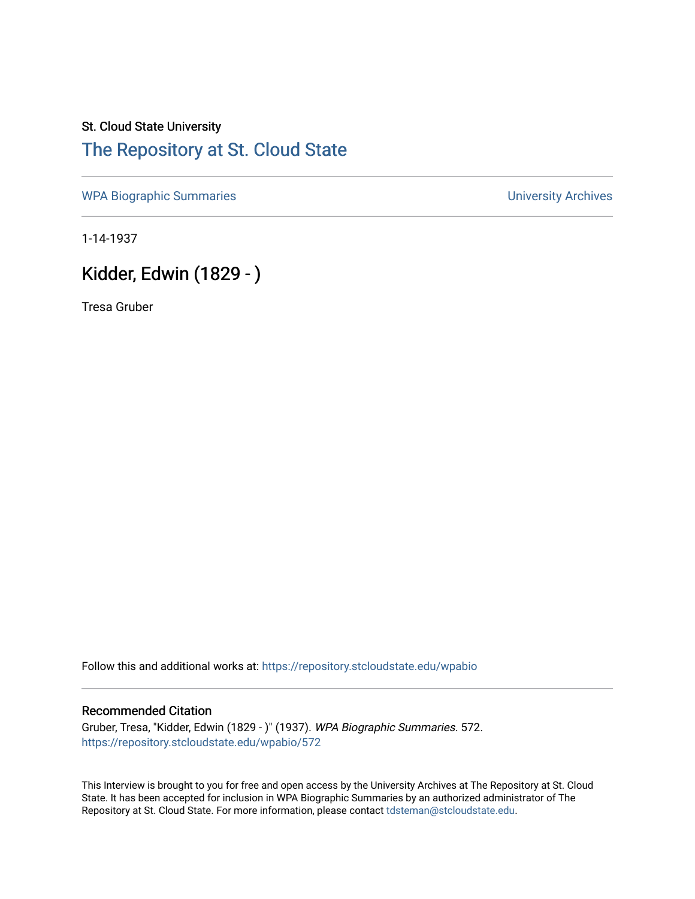## St. Cloud State University [The Repository at St. Cloud State](https://repository.stcloudstate.edu/)

[WPA Biographic Summaries](https://repository.stcloudstate.edu/wpabio) **WPA Biographic Summaries University Archives** 

1-14-1937

# Kidder, Edwin (1829 - )

Tresa Gruber

Follow this and additional works at: [https://repository.stcloudstate.edu/wpabio](https://repository.stcloudstate.edu/wpabio?utm_source=repository.stcloudstate.edu%2Fwpabio%2F572&utm_medium=PDF&utm_campaign=PDFCoverPages) 

#### Recommended Citation

Gruber, Tresa, "Kidder, Edwin (1829 - )" (1937). WPA Biographic Summaries. 572. [https://repository.stcloudstate.edu/wpabio/572](https://repository.stcloudstate.edu/wpabio/572?utm_source=repository.stcloudstate.edu%2Fwpabio%2F572&utm_medium=PDF&utm_campaign=PDFCoverPages) 

This Interview is brought to you for free and open access by the University Archives at The Repository at St. Cloud State. It has been accepted for inclusion in WPA Biographic Summaries by an authorized administrator of The Repository at St. Cloud State. For more information, please contact [tdsteman@stcloudstate.edu.](mailto:tdsteman@stcloudstate.edu)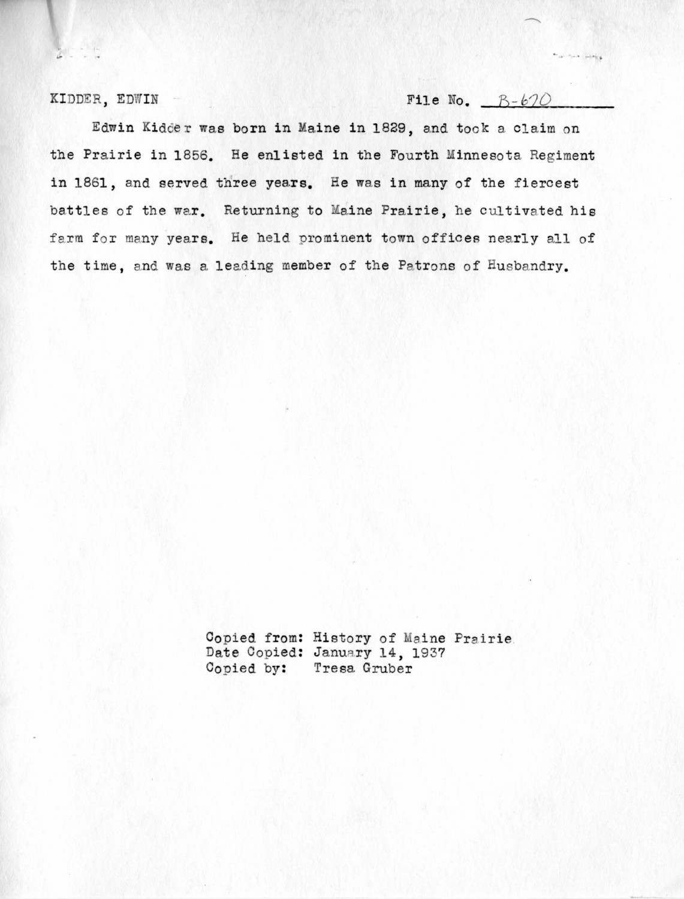KIDDER, EDWIN

#### File No.  $B-b70$

 $\gamma = \alpha - \frac{1}{1-\alpha} \frac{|\mathbf{x}|}{\sqrt{2}}$ 

Edwin Kidder was born in Maine in 1829, and took a claim on the Prairie in 1856. He enlisted in the Fourth Minnesota Regiment in 1861, and served three years. He was in many of the fiercest battles of the war. Returning to Maine Prairie, he cultivated his farm for many years. He held prominent town offices nearly all of the time, and was a leading member of the Patrons of Husbandry.

> Copied from: History of Maine Prairie. Date Copied: January 14, 1937 Copied by: Tresa Gruber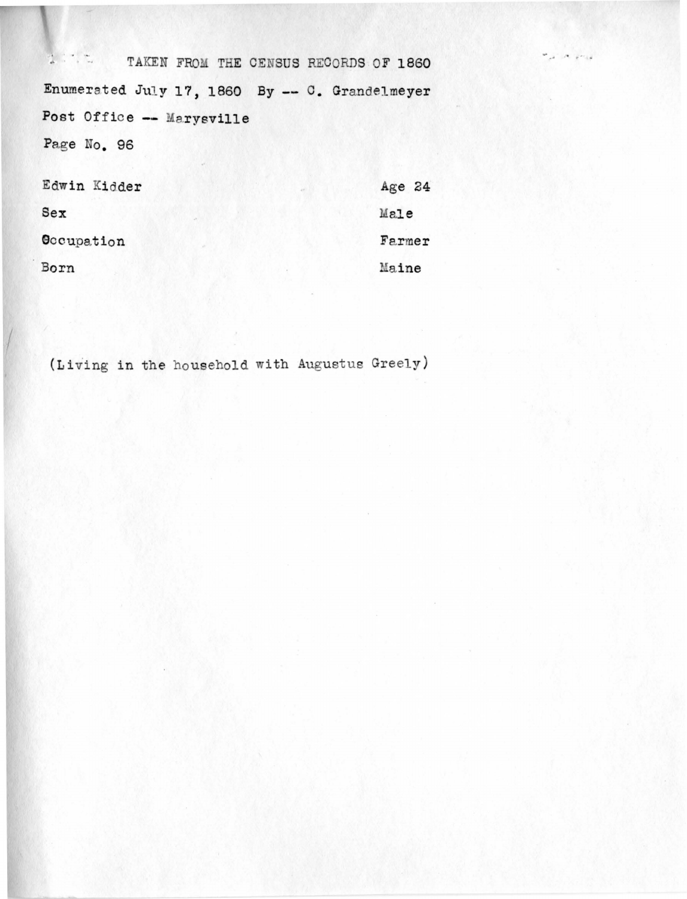TAKEN FROM THE CENSUS RECORDS OF 1860 Enumerated July 17, 1860 By -- C. Grandelmeyer Post Office -- Marysville Page No. 96

| Edwin Kidder |  | Age 24 |
|--------------|--|--------|
| Sex          |  | Male   |
| Occupation   |  | Farmer |
| Born         |  | Maine  |

(Living in the household with Augustus Greely)